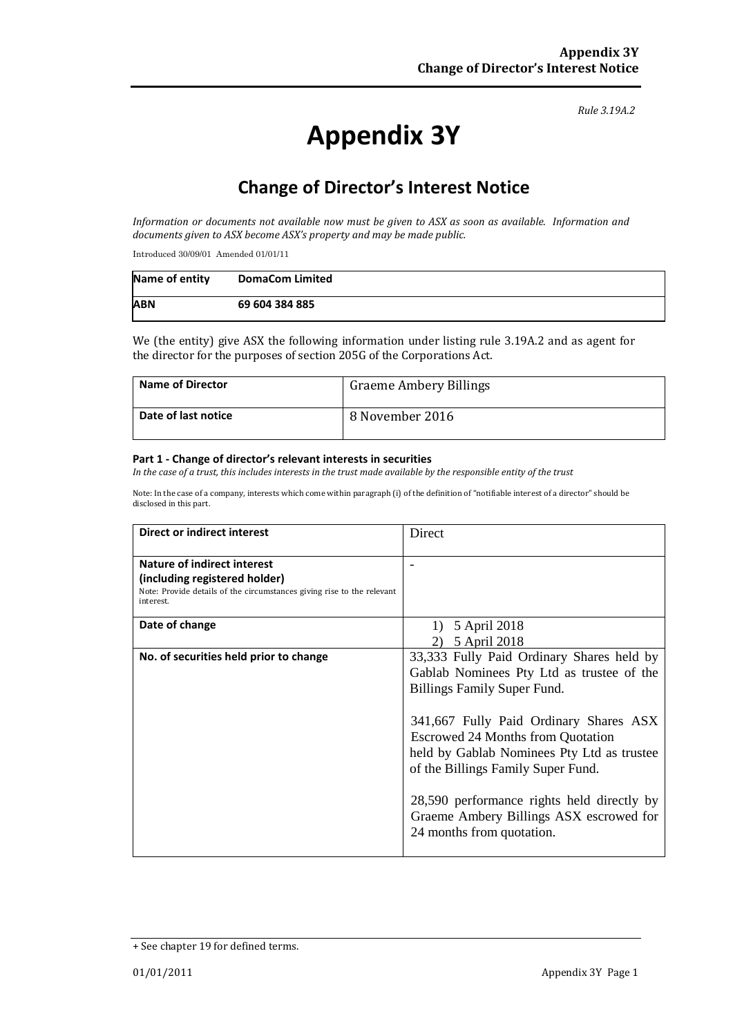#### *Rule 3.19A.2*

# **Appendix 3Y**

## **Change of Director's Interest Notice**

*Information or documents not available now must be given to ASX as soon as available. Information and documents given to ASX become ASX's property and may be made public.*

Introduced 30/09/01 Amended 01/01/11

| Name of entity | <b>DomaCom Limited</b> |
|----------------|------------------------|
| <b>ABN</b>     | 69 604 384 885         |

We (the entity) give ASX the following information under listing rule 3.19A.2 and as agent for the director for the purposes of section 205G of the Corporations Act.

| <b>Name of Director</b> | <b>Graeme Ambery Billings</b> |
|-------------------------|-------------------------------|
| Date of last notice     | 8 November 2016               |

#### **Part 1 - Change of director's relevant interests in securities**

*In the case of a trust, this includes interests in the trust made available by the responsible entity of the trust*

Note: In the case of a company, interests which come within paragraph (i) of the definition of "notifiable interest of a director" should be disclosed in this part.

| <b>Direct or indirect interest</b>                                                                                                                         | Direct                                                                                                                                                                                                                                                                                                                                               |
|------------------------------------------------------------------------------------------------------------------------------------------------------------|------------------------------------------------------------------------------------------------------------------------------------------------------------------------------------------------------------------------------------------------------------------------------------------------------------------------------------------------------|
| <b>Nature of indirect interest</b><br>(including registered holder)<br>Note: Provide details of the circumstances giving rise to the relevant<br>interest. |                                                                                                                                                                                                                                                                                                                                                      |
| Date of change                                                                                                                                             | 5 April 2018<br>5 April 2018                                                                                                                                                                                                                                                                                                                         |
| No. of securities held prior to change                                                                                                                     | 33,333 Fully Paid Ordinary Shares held by<br>Gablab Nominees Pty Ltd as trustee of the<br><b>Billings Family Super Fund.</b><br>341,667 Fully Paid Ordinary Shares ASX<br><b>Escrowed 24 Months from Quotation</b><br>held by Gablab Nominees Pty Ltd as trustee<br>of the Billings Family Super Fund.<br>28,590 performance rights held directly by |
|                                                                                                                                                            | Graeme Ambery Billings ASX escrowed for<br>24 months from quotation.                                                                                                                                                                                                                                                                                 |

<sup>+</sup> See chapter 19 for defined terms.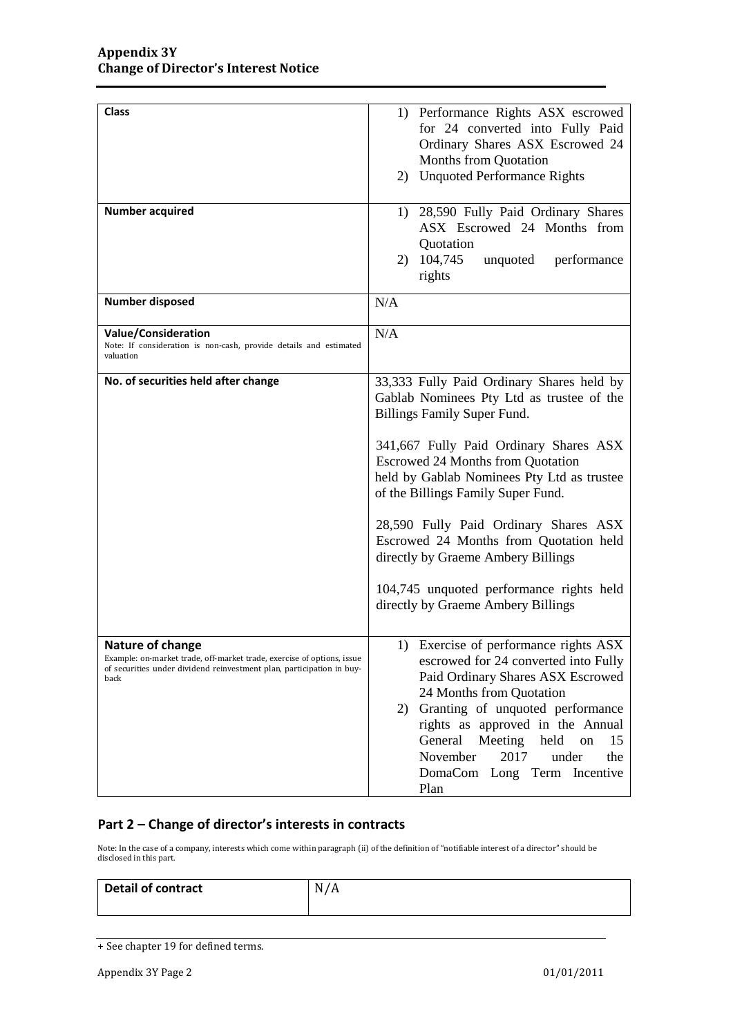| <b>Class</b>                                                                                                                                                                | 1) Performance Rights ASX escrowed<br>for 24 converted into Fully Paid<br>Ordinary Shares ASX Escrowed 24<br>Months from Quotation<br>2) Unquoted Performance Rights                                                                                                                                                                                                                                                                                                                                              |
|-----------------------------------------------------------------------------------------------------------------------------------------------------------------------------|-------------------------------------------------------------------------------------------------------------------------------------------------------------------------------------------------------------------------------------------------------------------------------------------------------------------------------------------------------------------------------------------------------------------------------------------------------------------------------------------------------------------|
| <b>Number acquired</b>                                                                                                                                                      | 1) 28,590 Fully Paid Ordinary Shares<br>ASX Escrowed 24 Months from<br>Quotation<br>2) 104,745<br>unquoted<br>performance<br>rights                                                                                                                                                                                                                                                                                                                                                                               |
| Number disposed                                                                                                                                                             | N/A                                                                                                                                                                                                                                                                                                                                                                                                                                                                                                               |
| <b>Value/Consideration</b><br>Note: If consideration is non-cash, provide details and estimated<br>valuation                                                                | N/A                                                                                                                                                                                                                                                                                                                                                                                                                                                                                                               |
| No. of securities held after change                                                                                                                                         | 33,333 Fully Paid Ordinary Shares held by<br>Gablab Nominees Pty Ltd as trustee of the<br><b>Billings Family Super Fund.</b><br>341,667 Fully Paid Ordinary Shares ASX<br><b>Escrowed 24 Months from Quotation</b><br>held by Gablab Nominees Pty Ltd as trustee<br>of the Billings Family Super Fund.<br>28,590 Fully Paid Ordinary Shares ASX<br>Escrowed 24 Months from Quotation held<br>directly by Graeme Ambery Billings<br>104,745 unquoted performance rights held<br>directly by Graeme Ambery Billings |
| Nature of change<br>Example: on-market trade, off-market trade, exercise of options, issue<br>of securities under dividend reinvestment plan, participation in buy-<br>back | 1) Exercise of performance rights ASX<br>escrowed for 24 converted into Fully<br>Paid Ordinary Shares ASX Escrowed<br>24 Months from Quotation<br>Granting of unquoted performance<br>2)<br>rights as approved in the Annual<br>General<br>Meeting<br>held<br>15<br>on<br>November<br>2017<br>under<br>the<br>DomaCom Long Term Incentive<br>Plan                                                                                                                                                                 |

### **Part 2 – Change of director's interests in contracts**

Note: In the case of a company, interests which come within paragraph (ii) of the definition of "notifiable interest of a director" should be disclosed in this part.

| Detail of contract | N/A |
|--------------------|-----|
|                    |     |

<sup>+</sup> See chapter 19 for defined terms.